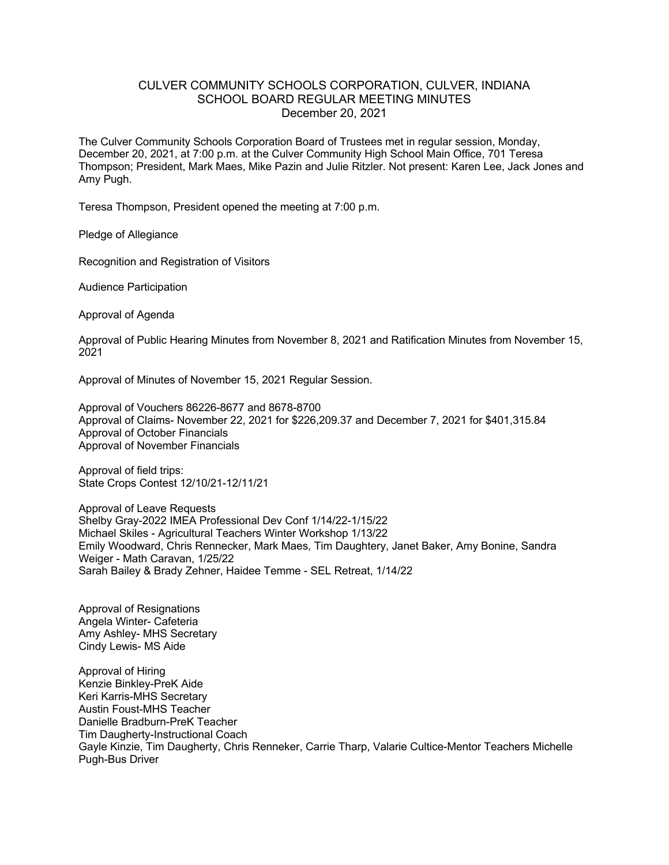## CULVER COMMUNITY SCHOOLS CORPORATION, CULVER, INDIANA SCHOOL BOARD REGULAR MEETING MINUTES December 20, 2021

The Culver Community Schools Corporation Board of Trustees met in regular session, Monday, December 20, 2021, at 7:00 p.m. at the Culver Community High School Main Office, 701 Teresa Thompson; President, Mark Maes, Mike Pazin and Julie Ritzler. Not present: Karen Lee, Jack Jones and Amy Pugh.

Teresa Thompson, President opened the meeting at 7:00 p.m.

Pledge of Allegiance

Recognition and Registration of Visitors

Audience Participation

Approval of Agenda

Approval of Public Hearing Minutes from November 8, 2021 and Ratification Minutes from November 15, 2021

Approval of Minutes of November 15, 2021 Regular Session.

Approval of Vouchers 86226-8677 and 8678-8700 Approval of Claims- November 22, 2021 for \$226,209.37 and December 7, 2021 for \$401,315.84 Approval of October Financials Approval of November Financials

Approval of field trips: State Crops Contest 12/10/21-12/11/21

Approval of Leave Requests Shelby Gray-2022 IMEA Professional Dev Conf 1/14/22-1/15/22 Michael Skiles - Agricultural Teachers Winter Workshop 1/13/22 Emily Woodward, Chris Rennecker, Mark Maes, Tim Daughtery, Janet Baker, Amy Bonine, Sandra Weiger - Math Caravan, 1/25/22 Sarah Bailey & Brady Zehner, Haidee Temme - SEL Retreat, 1/14/22

Approval of Resignations Angela Winter- Cafeteria Amy Ashley- MHS Secretary Cindy Lewis- MS Aide

Approval of Hiring Kenzie Binkley-PreK Aide Keri Karris-MHS Secretary Austin Foust-MHS Teacher Danielle Bradburn-PreK Teacher Tim Daugherty-Instructional Coach Gayle Kinzie, Tim Daugherty, Chris Renneker, Carrie Tharp, Valarie Cultice-Mentor Teachers Michelle Pugh-Bus Driver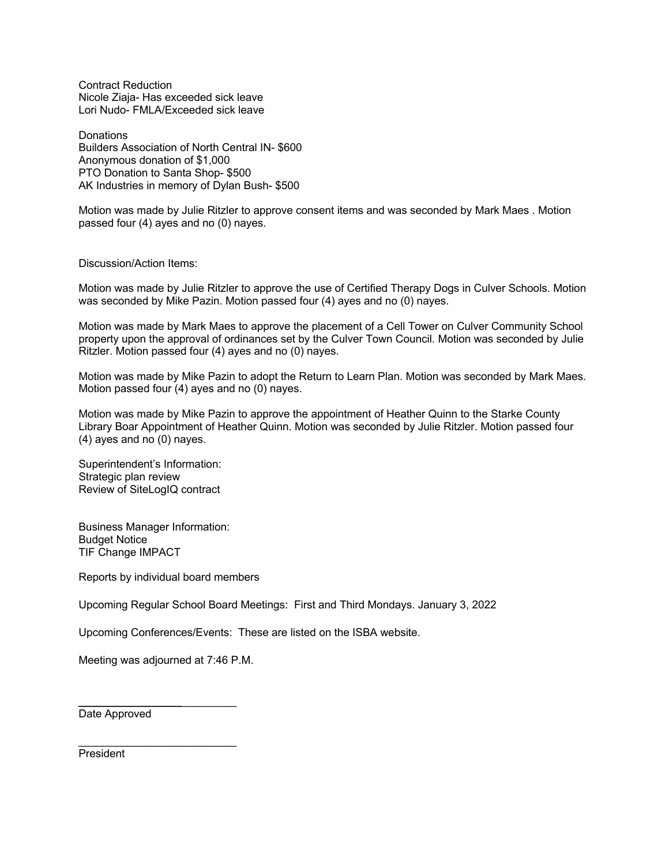Contract Reduction Nicole Ziaja- Has exceeded sick leave Lori Nudo- FMLA/Exceeded sick leave

**Donations** Builders Association of North Central IN- \$600 Anonymous donation of \$1,000 PTO Donation to Santa Shop- \$500 AK Industries in memory of Dylan Bush- \$500

Motion was made by Julie Ritzler to approve consent items and was seconded by Mark Maes . Motion passed four (4) ayes and no (0) nayes.

Discussion/Action Items:

Motion was made by Julie Ritzler to approve the use of Certified Therapy Dogs in Culver Schools. Motion was seconded by Mike Pazin. Motion passed four (4) ayes and no (0) nayes.

Motion was made by Mark Maes to approve the placement of a Cell Tower on Culver Community School property upon the approval of ordinances set by the Culver Town Council. Motion was seconded by Julie Ritzler. Motion passed four (4) ayes and no (0) nayes.

Motion was made by Mike Pazin to adopt the Return to Learn Plan. Motion was seconded by Mark Maes. Motion passed four (4) ayes and no (0) nayes.

Motion was made by Mike Pazin to approve the appointment of Heather Quinn to the Starke County Library Boar Appointment of Heather Quinn. Motion was seconded by Julie Ritzler. Motion passed four (4) ayes and no (0) nayes.

Superintendent's Information: Strategic plan review Review of SiteLogIQ contract

Business Manager Information: Budget Notice TIF Change IMPACT

Reports by individual board members

Upcoming Regular School Board Meetings: First and Third Mondays. January 3, 2022

Upcoming Conferences/Events: These are listed on the ISBA website.

Meeting was adjourned at 7:46 P.M.

**\_\_\_\_\_\_\_\_\_\_\_\_\_\_\_\_\_**\_\_\_\_\_\_\_\_\_

 $\mathcal{L}_\text{max}$  , where  $\mathcal{L}_\text{max}$  and  $\mathcal{L}_\text{max}$ 

Date Approved

President